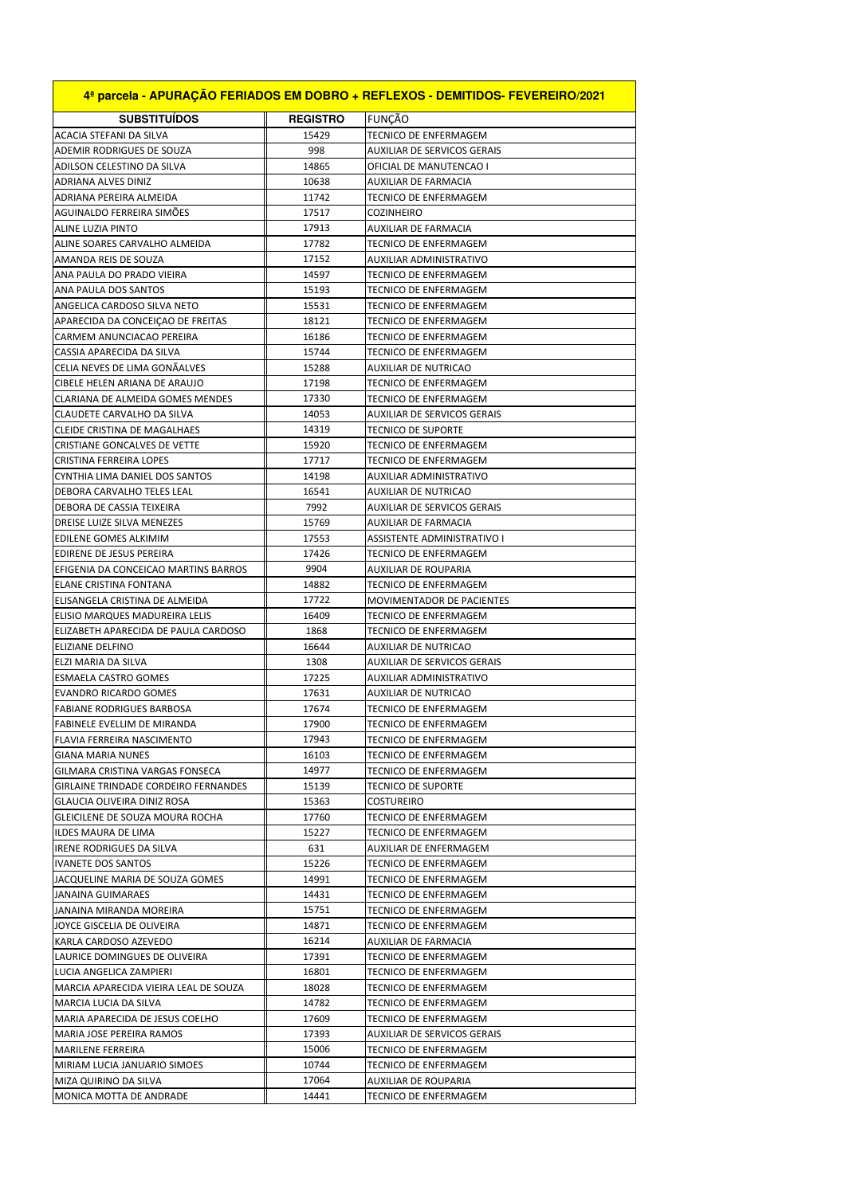| 4ª parcela - APURACÃO FERIADOS EM DOBRO + REFLEXOS - DEMITIDOS- FEVEREIRO/2021 |                 |                                  |
|--------------------------------------------------------------------------------|-----------------|----------------------------------|
| <b>SUBSTITUIDOS</b>                                                            | <b>REGISTRO</b> | <b>FUNCÃO</b>                    |
| ACACIA STEFANI DA SILVA                                                        | 15429           | TECNICO DE ENFERMAGEM            |
| ADEMIR RODRIGUES DE SOUZA                                                      | 998             | AUXILIAR DE SERVICOS GERAIS      |
| ADILSON CELESTINO DA SILVA                                                     | 14865           | OFICIAL DE MANUTENCAO I          |
| ADRIANA ALVES DINIZ                                                            | 10638           | AUXILIAR DE FARMACIA             |
| ADRIANA PEREIRA ALMEIDA                                                        | 11742           | TECNICO DE ENFERMAGEM            |
| AGUINALDO FERREIRA SIMÕES                                                      | 17517           | <b>COZINHEIRO</b>                |
| ALINE LUZIA PINTO                                                              | 17913           | AUXILIAR DE FARMACIA             |
| ALINE SOARES CARVALHO ALMEIDA                                                  | 17782           | TECNICO DE ENFERMAGEM            |
| AMANDA REIS DE SOUZA                                                           | 17152           | AUXILIAR ADMINISTRATIVO          |
| ANA PAULA DO PRADO VIEIRA                                                      | 14597           | TECNICO DE ENFERMAGEM            |
| ANA PAULA DOS SANTOS                                                           | 15193           | TECNICO DE ENFERMAGEM            |
| ANGELICA CARDOSO SILVA NETO                                                    | 15531           | <b>TECNICO DE ENFERMAGEM</b>     |
| APARECIDA DA CONCEIÇÃO DE FREITAS                                              | 18121           | <b>TECNICO DE ENFERMAGEM</b>     |
| CARMEM ANUNCIACAO PEREIRA                                                      | 16186           | TECNICO DE ENFERMAGEM            |
| CASSIA APARECIDA DA SILVA                                                      | 15744           | TECNICO DE ENFERMAGEM            |
| CELIA NEVES DE LIMA GONAALVES                                                  | 15288           | <b>AUXILIAR DE NUTRICAO</b>      |
| CIBELE HELEN ARIANA DE ARAUJO                                                  | 17198           | TECNICO DE ENFERMAGEM            |
| CLARIANA DE ALMEIDA GOMES MENDES                                               | 17330           | TECNICO DE ENFERMAGEM            |
| CLAUDETE CARVALHO DA SILVA                                                     | 14053           | AUXILIAR DE SERVICOS GERAIS      |
| <b>CLEIDE CRISTINA DE MAGALHAES</b>                                            | 14319           | <b>TECNICO DE SUPORTE</b>        |
| <b>CRISTIANE GONCALVES DE VETTE</b>                                            | 15920           | TECNICO DE ENFERMAGEM            |
| <b>CRISTINA FERREIRA LOPES</b>                                                 | 17717           | TECNICO DE ENFERMAGEM            |
| CYNTHIA LIMA DANIEL DOS SANTOS                                                 | 14198           | AUXILIAR ADMINISTRATIVO          |
| DEBORA CARVALHO TELES LEAL                                                     | 16541           | AUXILIAR DE NUTRICAO             |
| DEBORA DE CASSIA TEIXEIRA                                                      | 7992            | AUXILIAR DE SERVICOS GERAIS      |
| DREISE LUIZE SILVA MENEZES                                                     | 15769           | AUXILIAR DE FARMACIA             |
| EDILENE GOMES ALKIMIM                                                          | 17553           | ASSISTENTE ADMINISTRATIVO I      |
| EDIRENE DE JESUS PEREIRA                                                       | 17426           | TECNICO DE ENFERMAGEM            |
| EFIGENIA DA CONCEICAO MARTINS BARROS                                           | 9904            | AUXILIAR DE ROUPARIA             |
| <b>ELANE CRISTINA FONTANA</b>                                                  | 14882           | TECNICO DE ENFERMAGEM            |
| ELISANGELA CRISTINA DE ALMEIDA                                                 | 17722           | <b>MOVIMENTADOR DE PACIENTES</b> |
| ELISIO MARQUES MADUREIRA LELIS                                                 | 16409           | TECNICO DE ENFERMAGEM            |
| ELIZABETH APARECIDA DE PAULA CARDOSO                                           | 1868            | TECNICO DE ENFERMAGEM            |
| ELIZIANE DELFINO                                                               | 16644           | AUXILIAR DE NUTRICAO             |
| ELZI MARIA DA SILVA                                                            | 1308            | AUXILIAR DE SERVICOS GERAIS      |
| <b>ESMAELA CASTRO GOMES</b>                                                    | 17225           | AUXILIAR ADMINISTRATIVO          |
| <b>EVANDRO RICARDO GOMES</b>                                                   | 17631           | <b>AUXILIAR DE NUTRICAO</b>      |
| <b>FABIANE RODRIGUES BARBOSA</b>                                               | 17674           | TECNICO DE ENFERMAGEM            |
| FABINELE EVELLIM DE MIRANDA                                                    | 17900           | TECNICO DE ENFERMAGEM            |
| FLAVIA FERREIRA NASCIMENTO                                                     | 17943           | TECNICO DE ENFERMAGEM            |
| <b>GIANA MARIA NUNES</b>                                                       | 16103           | TECNICO DE ENFERMAGEM            |
| GILMARA CRISTINA VARGAS FONSECA                                                | 14977           | TECNICO DE ENFERMAGEM            |
| GIRLAINE TRINDADE CORDEIRO FERNANDES                                           | 15139           | TECNICO DE SUPORTE               |
| GLAUCIA OLIVEIRA DINIZ ROSA                                                    | 15363           | COSTUREIRO                       |
| GLEICILENE DE SOUZA MOURA ROCHA                                                | 17760           | TECNICO DE ENFERMAGEM            |
| ILDES MAURA DE LIMA                                                            | 15227           | TECNICO DE ENFERMAGEM            |
| IRENE RODRIGUES DA SILVA                                                       | 631             | AUXILIAR DE ENFERMAGEM           |
| <b>IVANETE DOS SANTOS</b>                                                      | 15226           | TECNICO DE ENFERMAGEM            |
| JACQUELINE MARIA DE SOUZA GOMES                                                | 14991           | TECNICO DE ENFERMAGEM            |
| JANAINA GUIMARAES                                                              | 14431           | TECNICO DE ENFERMAGEM            |
| JANAINA MIRANDA MOREIRA                                                        | 15751           | TECNICO DE ENFERMAGEM            |
| JOYCE GISCELIA DE OLIVEIRA                                                     | 14871           | TECNICO DE ENFERMAGEM            |
| KARLA CARDOSO AZEVEDO                                                          | 16214           | AUXILIAR DE FARMACIA             |
| LAURICE DOMINGUES DE OLIVEIRA                                                  | 17391           | TECNICO DE ENFERMAGEM            |
| LUCIA ANGELICA ZAMPIERI                                                        | 16801           | TECNICO DE ENFERMAGEM            |
| MARCIA APARECIDA VIEIRA LEAL DE SOUZA                                          | 18028           | TECNICO DE ENFERMAGEM            |
| MARCIA LUCIA DA SILVA                                                          | 14782           | TECNICO DE ENFERMAGEM            |
| MARIA APARECIDA DE JESUS COELHO                                                | 17609           | TECNICO DE ENFERMAGEM            |
| MARIA JOSE PEREIRA RAMOS                                                       | 17393           | AUXILIAR DE SERVICOS GERAIS      |
| MARILENE FERREIRA                                                              | 15006           | TECNICO DE ENFERMAGEM            |
| MIRIAM LUCIA JANUARIO SIMOES                                                   | 10744           | TECNICO DE ENFERMAGEM            |
| MIZA QUIRINO DA SILVA                                                          | 17064           | AUXILIAR DE ROUPARIA             |
| MONICA MOTTA DE ANDRADE                                                        | 14441           | TECNICO DE ENFERMAGEM            |